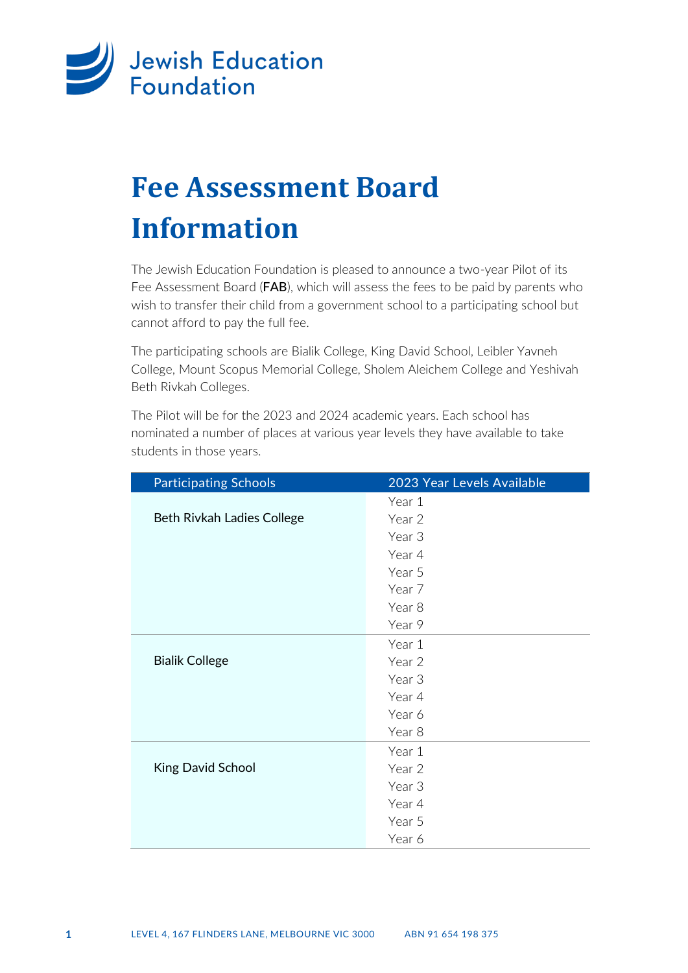

# **Fee Assessment Board Information**

The Jewish Education Foundation is pleased to announce a two-year Pilot of its Fee Assessment Board (FAB), which will assess the fees to be paid by parents who wish to transfer their child from a government school to a participating school but cannot afford to pay the full fee.

The participating schools are Bialik College, King David School, Leibler Yavneh College, Mount Scopus Memorial College, Sholem Aleichem College and Yeshivah Beth Rivkah Colleges.

The Pilot will be for the 2023 and 2024 academic years. Each school has nominated a number of places at various year levels they have available to take students in those years.

| <b>Participating Schools</b> | 2023 Year Levels Available |
|------------------------------|----------------------------|
|                              | Year 1                     |
| Beth Rivkah Ladies College   | Year 2                     |
|                              | Year 3                     |
|                              | Year 4                     |
|                              | Year 5                     |
|                              | Year 7                     |
|                              | Year 8                     |
|                              | Year 9                     |
|                              | Year 1                     |
| <b>Bialik College</b>        | Year 2                     |
|                              | Year 3                     |
|                              | Year 4                     |
|                              | Year 6                     |
|                              | Year 8                     |
|                              | Year 1                     |
| <b>King David School</b>     | Year 2                     |
|                              | Year 3                     |
|                              | Year 4                     |
|                              | Year 5                     |
|                              | Year 6                     |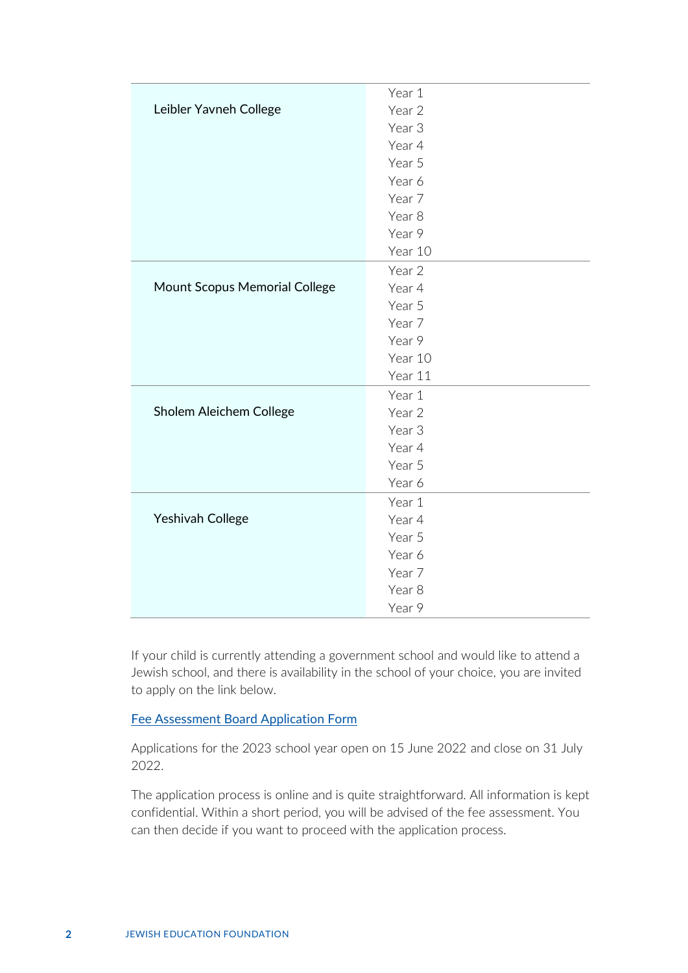|                               | Year 1            |
|-------------------------------|-------------------|
| Leibler Yavneh College        | Year 2            |
|                               | Year <sub>3</sub> |
|                               | Year 4            |
|                               | Year 5            |
|                               | Year 6            |
|                               | Year 7            |
|                               | Year 8            |
|                               | Year 9            |
|                               | Year 10           |
|                               | Year 2            |
| Mount Scopus Memorial College | Year 4            |
|                               | Year 5            |
|                               | Year 7            |
|                               | Year 9            |
|                               | Year 10           |
|                               | Year 11           |
|                               | Year 1            |
| Sholem Aleichem College       | Year 2            |
|                               | Year <sub>3</sub> |
|                               | Year 4            |
|                               | Year 5            |
|                               | Year 6            |
|                               | Year 1            |
| Yeshivah College              | Year 4            |
|                               | Year 5            |
|                               | Year 6            |
|                               | Year 7            |
|                               | Year 8            |
|                               | Year 9            |

If your child is currently attending a government school and would like to attend a Jewish school, and there is availability in the school of your choice, you are invited to apply on the link below.

#### [Fee Assessment Board Application Form](https://www.jewisheducationfoundation.com/apply/)

Applications for the 2023 school year open on 15 June 2022 and close on 31 July 2022.

The application process is online and is quite straightforward. All information is kept confidential. Within a short period, you will be advised of the fee assessment. You can then decide if you want to proceed with the application process.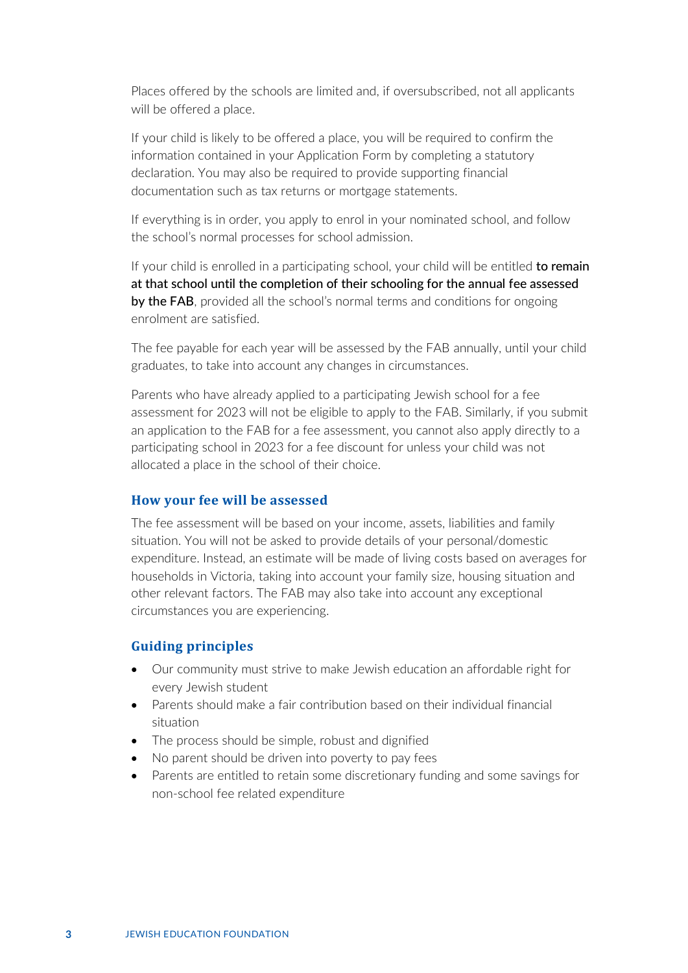Places offered by the schools are limited and, if oversubscribed, not all applicants will be offered a place.

If your child is likely to be offered a place, you will be required to confirm the information contained in your Application Form by completing a statutory declaration. You may also be required to provide supporting financial documentation such as tax returns or mortgage statements.

If everything is in order, you apply to enrol in your nominated school, and follow the school's normal processes for school admission.

If your child is enrolled in a participating school, your child will be entitled to remain at that school until the completion of their schooling for the annual fee assessed by the FAB, provided all the school's normal terms and conditions for ongoing enrolment are satisfied.

The fee payable for each year will be assessed by the FAB annually, until your child graduates, to take into account any changes in circumstances.

Parents who have already applied to a participating Jewish school for a fee assessment for 2023 will not be eligible to apply to the FAB. Similarly, if you submit an application to the FAB for a fee assessment, you cannot also apply directly to a participating school in 2023 for a fee discount for unless your child was not allocated a place in the school of their choice.

#### **How your fee will be assessed**

The fee assessment will be based on your income, assets, liabilities and family situation. You will not be asked to provide details of your personal/domestic expenditure. Instead, an estimate will be made of living costs based on averages for households in Victoria, taking into account your family size, housing situation and other relevant factors. The FAB may also take into account any exceptional circumstances you are experiencing.

#### **Guiding principles**

- Our community must strive to make Jewish education an affordable right for every Jewish student
- Parents should make a fair contribution based on their individual financial situation
- The process should be simple, robust and dignified
- No parent should be driven into poverty to pay fees
- Parents are entitled to retain some discretionary funding and some savings for non-school fee related expenditure